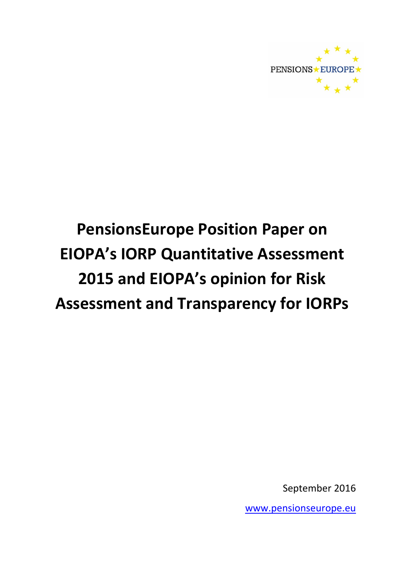

September 2016

www.pensionseurope.eu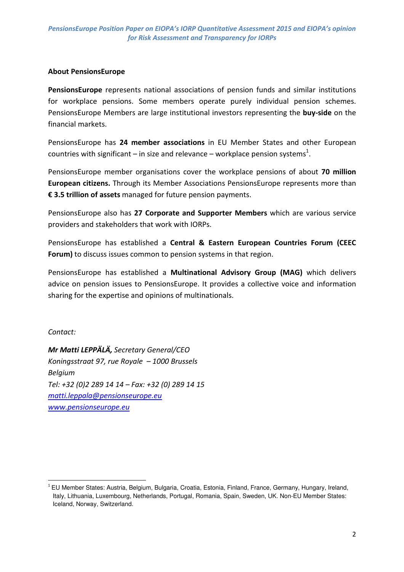#### About PensionsEurope

PensionsEurope represents national associations of pension funds and similar institutions for workplace pensions. Some members operate purely individual pension schemes. PensionsEurope Members are large institutional investors representing the buy-side on the financial markets.

PensionsEurope has 24 member associations in EU Member States and other European countries with significant – in size and relevance – workplace pension systems<sup>1</sup>.

PensionsEurope member organisations cover the workplace pensions of about 70 million European citizens. Through its Member Associations PensionsEurope represents more than € 3.5 trillion of assets managed for future pension payments.

PensionsEurope also has 27 Corporate and Supporter Members which are various service providers and stakeholders that work with IORPs.

PensionsEurope has established a Central & Eastern European Countries Forum (CEEC Forum) to discuss issues common to pension systems in that region.

PensionsEurope has established a Multinational Advisory Group (MAG) which delivers advice on pension issues to PensionsEurope. It provides a collective voice and information sharing for the expertise and opinions of multinationals.

Contact:

l

Mr Matti LEPPÄLÄ, Secretary General/CEO Koningsstraat 97, rue Royale – 1000 Brussels Belgium Tel: +32 (0)2 289 14 14 – Fax: +32 (0) 289 14 15 matti.leppala@pensionseurope.eu www.pensionseurope.eu

<sup>&</sup>lt;sup>1</sup> EU Member States: Austria, Belgium, Bulgaria, Croatia, Estonia, Finland, France, Germany, Hungary, Ireland, Italy, Lithuania, Luxembourg, Netherlands, Portugal, Romania, Spain, Sweden, UK. Non-EU Member States: Iceland, Norway, Switzerland.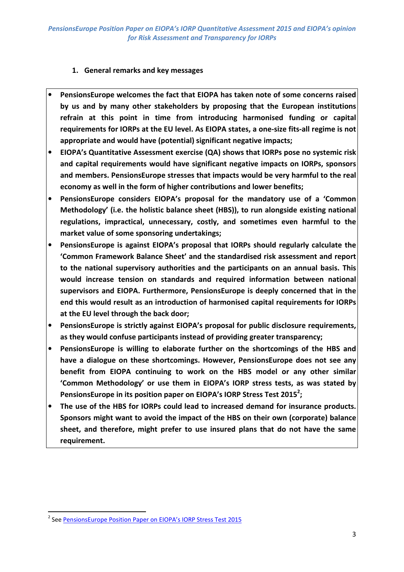# 1. General remarks and key messages

- PensionsEurope welcomes the fact that EIOPA has taken note of some concerns raised by us and by many other stakeholders by proposing that the European institutions refrain at this point in time from introducing harmonised funding or capital requirements for IORPs at the EU level. As EIOPA states, a one-size fits-all regime is not appropriate and would have (potential) significant negative impacts;
- EIOPA's Quantitative Assessment exercise (QA) shows that IORPs pose no systemic risk and capital requirements would have significant negative impacts on IORPs, sponsors and members. PensionsEurope stresses that impacts would be very harmful to the real economy as well in the form of higher contributions and lower benefits;
- PensionsEurope considers EIOPA's proposal for the mandatory use of a 'Common Methodology' (i.e. the holistic balance sheet (HBS)), to run alongside existing national regulations, impractical, unnecessary, costly, and sometimes even harmful to the market value of some sponsoring undertakings;
- PensionsEurope is against EIOPA's proposal that IORPs should regularly calculate the 'Common Framework Balance Sheet' and the standardised risk assessment and report to the national supervisory authorities and the participants on an annual basis. This would increase tension on standards and required information between national supervisors and EIOPA. Furthermore, PensionsEurope is deeply concerned that in the end this would result as an introduction of harmonised capital requirements for IORPs at the EU level through the back door;
- PensionsEurope is strictly against EIOPA's proposal for public disclosure requirements, as they would confuse participants instead of providing greater transparency;
- PensionsEurope is willing to elaborate further on the shortcomings of the HBS and have a dialogue on these shortcomings. However, PensionsEurope does not see any benefit from EIOPA continuing to work on the HBS model or any other similar 'Common Methodology' or use them in EIOPA's IORP stress tests, as was stated by PensionsEurope in its position paper on EIOPA's IORP Stress Test 2015<sup>2</sup>;
- The use of the HBS for IORPs could lead to increased demand for insurance products. Sponsors might want to avoid the impact of the HBS on their own (corporate) balance sheet, and therefore, might prefer to use insured plans that do not have the same requirement.

<sup>&</sup>lt;sup>2</sup> See PensionsEurope Position Paper on EIOPA's IORP Stress Test 2015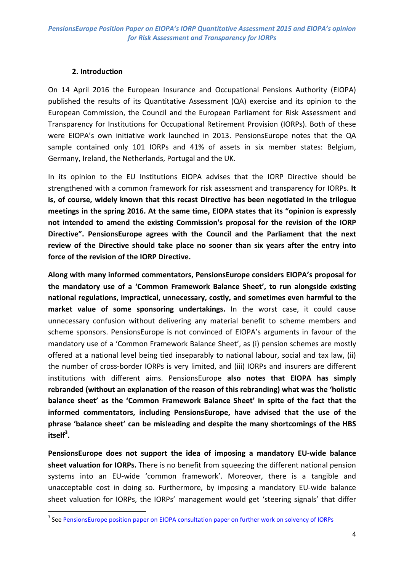#### 2. Introduction

On 14 April 2016 the European Insurance and Occupational Pensions Authority (EIOPA) published the results of its Quantitative Assessment (QA) exercise and its opinion to the European Commission, the Council and the European Parliament for Risk Assessment and Transparency for Institutions for Occupational Retirement Provision (IORPs). Both of these were EIOPA's own initiative work launched in 2013. PensionsEurope notes that the QA sample contained only 101 IORPs and 41% of assets in six member states: Belgium, Germany, Ireland, the Netherlands, Portugal and the UK.

In its opinion to the EU Institutions EIOPA advises that the IORP Directive should be strengthened with a common framework for risk assessment and transparency for IORPs. It is, of course, widely known that this recast Directive has been negotiated in the trilogue meetings in the spring 2016. At the same time, EIOPA states that its "opinion is expressly not intended to amend the existing Commission's proposal for the revision of the IORP Directive". PensionsEurope agrees with the Council and the Parliament that the next review of the Directive should take place no sooner than six years after the entry into force of the revision of the IORP Directive.

Along with many informed commentators, PensionsEurope considers EIOPA's proposal for the mandatory use of a 'Common Framework Balance Sheet', to run alongside existing national regulations, impractical, unnecessary, costly, and sometimes even harmful to the market value of some sponsoring undertakings. In the worst case, it could cause unnecessary confusion without delivering any material benefit to scheme members and scheme sponsors. PensionsEurope is not convinced of EIOPA's arguments in favour of the mandatory use of a 'Common Framework Balance Sheet', as (i) pension schemes are mostly offered at a national level being tied inseparably to national labour, social and tax law, (ii) the number of cross-border IORPs is very limited, and (iii) IORPs and insurers are different institutions with different aims. PensionsEurope also notes that EIOPA has simply rebranded (without an explanation of the reason of this rebranding) what was the 'holistic balance sheet' as the 'Common Framework Balance Sheet' in spite of the fact that the informed commentators, including PensionsEurope, have advised that the use of the phrase 'balance sheet' can be misleading and despite the many shortcomings of the HBS itself<sup>3</sup>.

PensionsEurope does not support the idea of imposing a mandatory EU-wide balance sheet valuation for IORPs. There is no benefit from squeezing the different national pension systems into an EU-wide 'common framework'. Moreover, there is a tangible and unacceptable cost in doing so. Furthermore, by imposing a mandatory EU-wide balance sheet valuation for IORPs, the IORPs' management would get 'steering signals' that differ

<sup>&</sup>lt;sup>3</sup> See PensionsEurope position paper on EIOPA consultation paper on further work on solvency of IORPs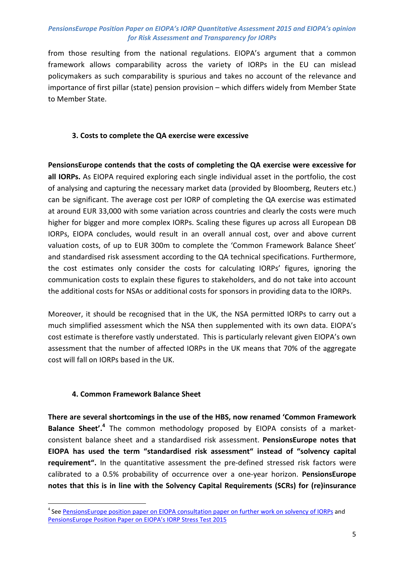from those resulting from the national regulations. EIOPA's argument that a common framework allows comparability across the variety of IORPs in the EU can mislead policymakers as such comparability is spurious and takes no account of the relevance and importance of first pillar (state) pension provision – which differs widely from Member State to Member State.

# 3. Costs to complete the QA exercise were excessive

PensionsEurope contends that the costs of completing the QA exercise were excessive for all IORPs. As EIOPA required exploring each single individual asset in the portfolio, the cost of analysing and capturing the necessary market data (provided by Bloomberg, Reuters etc.) can be significant. The average cost per IORP of completing the QA exercise was estimated at around EUR 33,000 with some variation across countries and clearly the costs were much higher for bigger and more complex IORPs. Scaling these figures up across all European DB IORPs, EIOPA concludes, would result in an overall annual cost, over and above current valuation costs, of up to EUR 300m to complete the 'Common Framework Balance Sheet' and standardised risk assessment according to the QA technical specifications. Furthermore, the cost estimates only consider the costs for calculating IORPs' figures, ignoring the communication costs to explain these figures to stakeholders, and do not take into account the additional costs for NSAs or additional costs for sponsors in providing data to the IORPs.

Moreover, it should be recognised that in the UK, the NSA permitted IORPs to carry out a much simplified assessment which the NSA then supplemented with its own data. EIOPA's cost estimate is therefore vastly understated. This is particularly relevant given EIOPA's own assessment that the number of affected IORPs in the UK means that 70% of the aggregate cost will fall on IORPs based in the UK.

## 4. Common Framework Balance Sheet

l

There are several shortcomings in the use of the HBS, now renamed 'Common Framework Balance Sheet'.<sup>4</sup> The common methodology proposed by EIOPA consists of a marketconsistent balance sheet and a standardised risk assessment. PensionsEurope notes that EIOPA has used the term "standardised risk assessment" instead of "solvency capital requirement". In the quantitative assessment the pre-defined stressed risk factors were calibrated to a 0.5% probability of occurrence over a one-year horizon. PensionsEurope notes that this is in line with the Solvency Capital Requirements (SCRs) for (re)insurance

<sup>&</sup>lt;sup>4</sup> See PensionsEurope position paper on EIOPA consultation paper on further work on solvency of IORPs and PensionsEurope Position Paper on EIOPA's IORP Stress Test 2015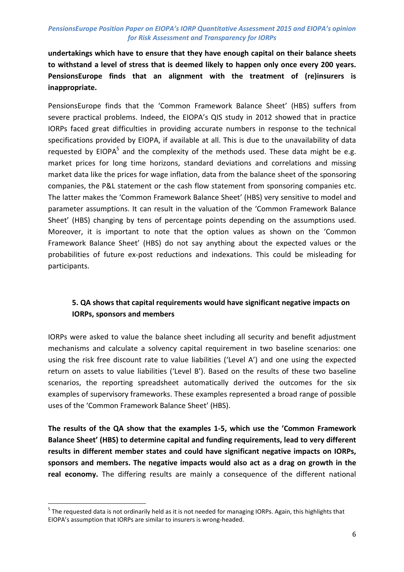undertakings which have to ensure that they have enough capital on their balance sheets to withstand a level of stress that is deemed likely to happen only once every 200 years. PensionsEurope finds that an alignment with the treatment of (re)insurers is inappropriate.

PensionsEurope finds that the 'Common Framework Balance Sheet' (HBS) suffers from severe practical problems. Indeed, the EIOPA's QIS study in 2012 showed that in practice IORPs faced great difficulties in providing accurate numbers in response to the technical specifications provided by EIOPA, if available at all. This is due to the unavailability of data requested by EIOPA<sup>5</sup> and the complexity of the methods used. These data might be e.g. market prices for long time horizons, standard deviations and correlations and missing market data like the prices for wage inflation, data from the balance sheet of the sponsoring companies, the P&L statement or the cash flow statement from sponsoring companies etc. The latter makes the 'Common Framework Balance Sheet' (HBS) very sensitive to model and parameter assumptions. It can result in the valuation of the 'Common Framework Balance Sheet' (HBS) changing by tens of percentage points depending on the assumptions used. Moreover, it is important to note that the option values as shown on the 'Common Framework Balance Sheet' (HBS) do not say anything about the expected values or the probabilities of future ex-post reductions and indexations. This could be misleading for participants.

# 5. QA shows that capital requirements would have significant negative impacts on IORPs, sponsors and members

IORPs were asked to value the balance sheet including all security and benefit adjustment mechanisms and calculate a solvency capital requirement in two baseline scenarios: one using the risk free discount rate to value liabilities ('Level A') and one using the expected return on assets to value liabilities ('Level B'). Based on the results of these two baseline scenarios, the reporting spreadsheet automatically derived the outcomes for the six examples of supervisory frameworks. These examples represented a broad range of possible uses of the 'Common Framework Balance Sheet' (HBS).

The results of the QA show that the examples 1-5, which use the 'Common Framework Balance Sheet' (HBS) to determine capital and funding requirements, lead to very different results in different member states and could have significant negative impacts on IORPs, sponsors and members. The negative impacts would also act as a drag on growth in the real economy. The differing results are mainly a consequence of the different national

l

<sup>&</sup>lt;sup>5</sup> The requested data is not ordinarily held as it is not needed for managing IORPs. Again, this highlights that EIOPA's assumption that IORPs are similar to insurers is wrong-headed.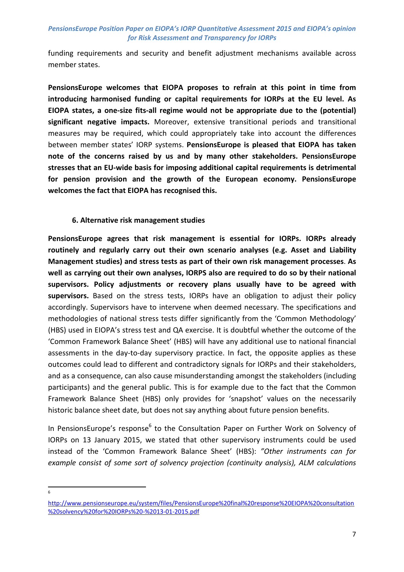funding requirements and security and benefit adjustment mechanisms available across member states.

PensionsEurope welcomes that EIOPA proposes to refrain at this point in time from introducing harmonised funding or capital requirements for IORPs at the EU level. As EIOPA states, a one-size fits-all regime would not be appropriate due to the (potential) significant negative impacts. Moreover, extensive transitional periods and transitional measures may be required, which could appropriately take into account the differences between member states' IORP systems. PensionsEurope is pleased that EIOPA has taken note of the concerns raised by us and by many other stakeholders. PensionsEurope stresses that an EU-wide basis for imposing additional capital requirements is detrimental for pension provision and the growth of the European economy. PensionsEurope welcomes the fact that EIOPA has recognised this.

#### 6. Alternative risk management studies

PensionsEurope agrees that risk management is essential for IORPs. IORPs already routinely and regularly carry out their own scenario analyses (e.g. Asset and Liability Management studies) and stress tests as part of their own risk management processes. As well as carrying out their own analyses, IORPS also are required to do so by their national supervisors. Policy adjustments or recovery plans usually have to be agreed with supervisors. Based on the stress tests, IORPs have an obligation to adjust their policy accordingly. Supervisors have to intervene when deemed necessary. The specifications and methodologies of national stress tests differ significantly from the 'Common Methodology' (HBS) used in EIOPA's stress test and QA exercise. It is doubtful whether the outcome of the 'Common Framework Balance Sheet' (HBS) will have any additional use to national financial assessments in the day-to-day supervisory practice. In fact, the opposite applies as these outcomes could lead to different and contradictory signals for IORPs and their stakeholders, and as a consequence, can also cause misunderstanding amongst the stakeholders (including participants) and the general public. This is for example due to the fact that the Common Framework Balance Sheet (HBS) only provides for 'snapshot' values on the necessarily historic balance sheet date, but does not say anything about future pension benefits.

In PensionsEurope's response<sup>6</sup> to the Consultation Paper on Further Work on Solvency of IORPs on 13 January 2015, we stated that other supervisory instruments could be used instead of the 'Common Framework Balance Sheet' (HBS): "Other instruments can for example consist of some sort of solvency projection (continuity analysis), ALM calculations

l 6

http://www.pensionseurope.eu/system/files/PensionsEurope%20final%20response%20EIOPA%20consultation %20solvency%20for%20IORPs%20-%2013-01-2015.pdf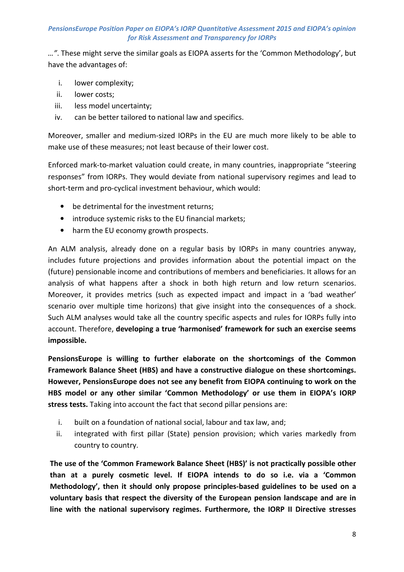…". These might serve the similar goals as EIOPA asserts for the 'Common Methodology', but have the advantages of:

- i. lower complexity;
- ii. lower costs;
- iii. less model uncertainty;
- iv. can be better tailored to national law and specifics.

Moreover, smaller and medium-sized IORPs in the EU are much more likely to be able to make use of these measures; not least because of their lower cost.

Enforced mark-to-market valuation could create, in many countries, inappropriate "steering responses" from IORPs. They would deviate from national supervisory regimes and lead to short-term and pro-cyclical investment behaviour, which would:

- be detrimental for the investment returns;
- introduce systemic risks to the EU financial markets;
- harm the EU economy growth prospects.

An ALM analysis, already done on a regular basis by IORPs in many countries anyway, includes future projections and provides information about the potential impact on the (future) pensionable income and contributions of members and beneficiaries. It allows for an analysis of what happens after a shock in both high return and low return scenarios. Moreover, it provides metrics (such as expected impact and impact in a 'bad weather' scenario over multiple time horizons) that give insight into the consequences of a shock. Such ALM analyses would take all the country specific aspects and rules for IORPs fully into account. Therefore, developing a true 'harmonised' framework for such an exercise seems impossible.

PensionsEurope is willing to further elaborate on the shortcomings of the Common Framework Balance Sheet (HBS) and have a constructive dialogue on these shortcomings. However, PensionsEurope does not see any benefit from EIOPA continuing to work on the HBS model or any other similar 'Common Methodology' or use them in EIOPA's IORP stress tests. Taking into account the fact that second pillar pensions are:

- i. built on a foundation of national social, labour and tax law, and;
- ii. integrated with first pillar (State) pension provision; which varies markedly from country to country.

The use of the 'Common Framework Balance Sheet (HBS)' is not practically possible other than at a purely cosmetic level. If EIOPA intends to do so i.e. via a 'Common Methodology', then it should only propose principles-based guidelines to be used on a voluntary basis that respect the diversity of the European pension landscape and are in line with the national supervisory regimes. Furthermore, the IORP II Directive stresses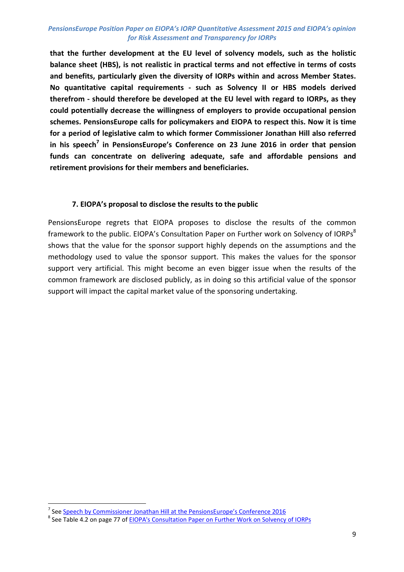that the further development at the EU level of solvency models, such as the holistic balance sheet (HBS), is not realistic in practical terms and not effective in terms of costs and benefits, particularly given the diversity of IORPs within and across Member States. No quantitative capital requirements - such as Solvency II or HBS models derived therefrom - should therefore be developed at the EU level with regard to IORPs, as they could potentially decrease the willingness of employers to provide occupational pension schemes. PensionsEurope calls for policymakers and EIOPA to respect this. Now it is time for a period of legislative calm to which former Commissioner Jonathan Hill also referred in his speech<sup>7</sup> in PensionsEurope's Conference on 23 June 2016 in order that pension funds can concentrate on delivering adequate, safe and affordable pensions and retirement provisions for their members and beneficiaries.

#### 7. EIOPA's proposal to disclose the results to the public

PensionsEurope regrets that EIOPA proposes to disclose the results of the common framework to the public. EIOPA's Consultation Paper on Further work on Solvency of IORPs<sup>8</sup> shows that the value for the sponsor support highly depends on the assumptions and the methodology used to value the sponsor support. This makes the values for the sponsor support very artificial. This might become an even bigger issue when the results of the common framework are disclosed publicly, as in doing so this artificial value of the sponsor support will impact the capital market value of the sponsoring undertaking.

 7 See Speech by Commissioner Jonathan Hill at the PensionsEurope's Conference 2016

<sup>&</sup>lt;sup>8</sup> See Table 4.2 on page 77 of <u>EIOPA's Consultation Paper on Further Work on Solvency of IORPs</u>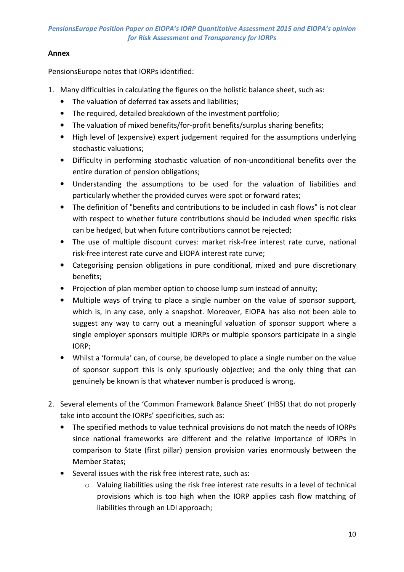# Annex

PensionsEurope notes that IORPs identified:

- 1. Many difficulties in calculating the figures on the holistic balance sheet, such as:
	- The valuation of deferred tax assets and liabilities;
	- The required, detailed breakdown of the investment portfolio;
	- The valuation of mixed benefits/for-profit benefits/surplus sharing benefits;
	- High level of (expensive) expert judgement required for the assumptions underlying stochastic valuations;
	- Difficulty in performing stochastic valuation of non-unconditional benefits over the entire duration of pension obligations;
	- Understanding the assumptions to be used for the valuation of liabilities and particularly whether the provided curves were spot or forward rates;
	- The definition of "benefits and contributions to be included in cash flows" is not clear with respect to whether future contributions should be included when specific risks can be hedged, but when future contributions cannot be rejected;
	- The use of multiple discount curves: market risk-free interest rate curve, national risk-free interest rate curve and EIOPA interest rate curve;
	- Categorising pension obligations in pure conditional, mixed and pure discretionary benefits;
	- Projection of plan member option to choose lump sum instead of annuity;
	- Multiple ways of trying to place a single number on the value of sponsor support, which is, in any case, only a snapshot. Moreover, EIOPA has also not been able to suggest any way to carry out a meaningful valuation of sponsor support where a single employer sponsors multiple IORPs or multiple sponsors participate in a single IORP;
	- Whilst a 'formula' can, of course, be developed to place a single number on the value of sponsor support this is only spuriously objective; and the only thing that can genuinely be known is that whatever number is produced is wrong.
- 2. Several elements of the 'Common Framework Balance Sheet' (HBS) that do not properly take into account the IORPs' specificities, such as:
	- The specified methods to value technical provisions do not match the needs of IORPs since national frameworks are different and the relative importance of IORPs in comparison to State (first pillar) pension provision varies enormously between the Member States;
	- Several issues with the risk free interest rate, such as:
		- $\circ$  Valuing liabilities using the risk free interest rate results in a level of technical provisions which is too high when the IORP applies cash flow matching of liabilities through an LDI approach;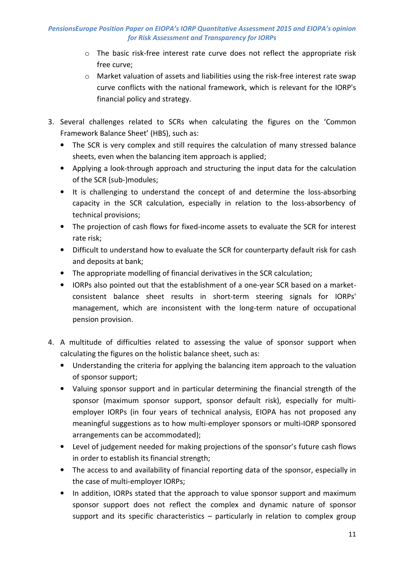- $\circ$  The basic risk-free interest rate curve does not reflect the appropriate risk free curve;
- $\circ$  Market valuation of assets and liabilities using the risk-free interest rate swap curve conflicts with the national framework, which is relevant for the IORP's financial policy and strategy.
- 3. Several challenges related to SCRs when calculating the figures on the 'Common Framework Balance Sheet' (HBS), such as:
	- The SCR is very complex and still requires the calculation of many stressed balance sheets, even when the balancing item approach is applied;
	- Applying a look-through approach and structuring the input data for the calculation of the SCR (sub-)modules;
	- It is challenging to understand the concept of and determine the loss-absorbing capacity in the SCR calculation, especially in relation to the loss-absorbency of technical provisions;
	- The projection of cash flows for fixed-income assets to evaluate the SCR for interest rate risk;
	- Difficult to understand how to evaluate the SCR for counterparty default risk for cash and deposits at bank;
	- The appropriate modelling of financial derivatives in the SCR calculation;
	- IORPs also pointed out that the establishment of a one-year SCR based on a marketconsistent balance sheet results in short-term steering signals for IORPs' management, which are inconsistent with the long-term nature of occupational pension provision.
- 4. A multitude of difficulties related to assessing the value of sponsor support when calculating the figures on the holistic balance sheet, such as:
	- Understanding the criteria for applying the balancing item approach to the valuation of sponsor support;
	- Valuing sponsor support and in particular determining the financial strength of the sponsor (maximum sponsor support, sponsor default risk), especially for multiemployer IORPs (in four years of technical analysis, EIOPA has not proposed any meaningful suggestions as to how multi-employer sponsors or multi-IORP sponsored arrangements can be accommodated);
	- Level of judgement needed for making projections of the sponsor's future cash flows in order to establish its financial strength;
	- The access to and availability of financial reporting data of the sponsor, especially in the case of multi-employer IORPs;
	- In addition, IORPs stated that the approach to value sponsor support and maximum sponsor support does not reflect the complex and dynamic nature of sponsor support and its specific characteristics – particularly in relation to complex group